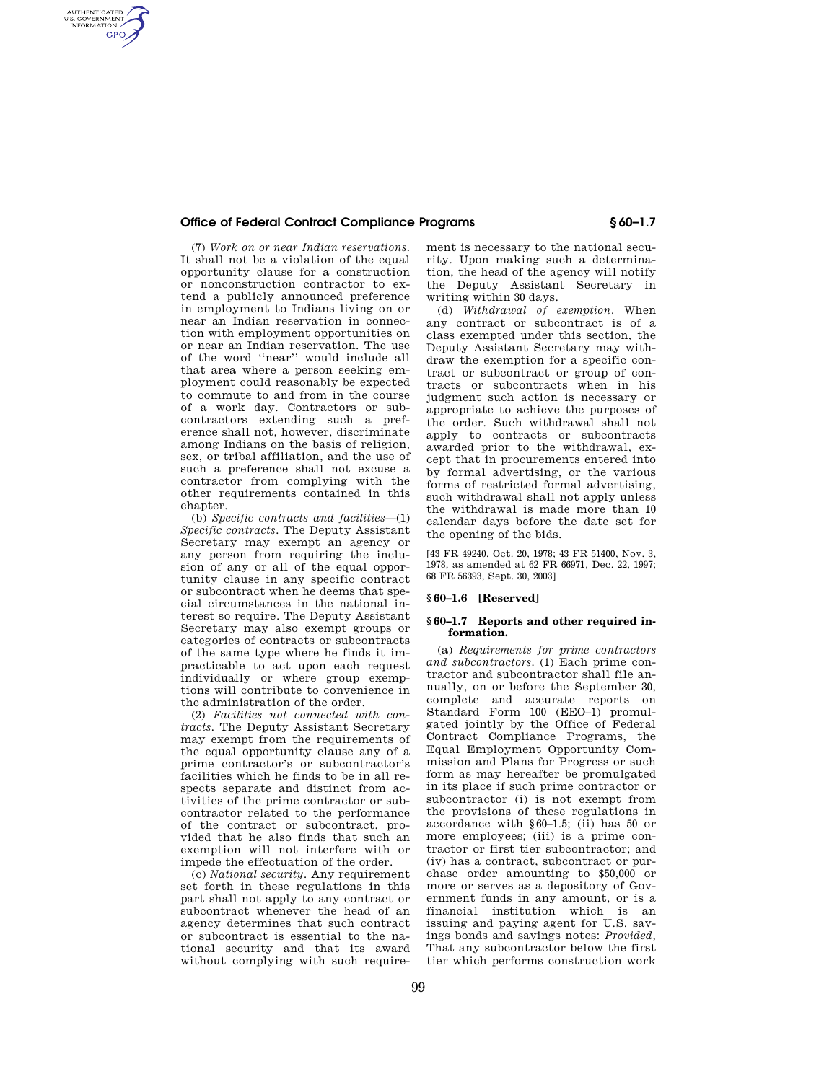## **Office of Federal Contract Compliance Programs § 60–1.7**

AUTHENTICATED<br>U.S. GOVERNMENT<br>INFORMATION **GPO** 

> (7) *Work on or near Indian reservations.*  It shall not be a violation of the equal opportunity clause for a construction or nonconstruction contractor to extend a publicly announced preference in employment to Indians living on or near an Indian reservation in connection with employment opportunities on or near an Indian reservation. The use of the word ''near'' would include all that area where a person seeking employment could reasonably be expected to commute to and from in the course of a work day. Contractors or subcontractors extending such a preference shall not, however, discriminate among Indians on the basis of religion, sex, or tribal affiliation, and the use of such a preference shall not excuse a contractor from complying with the other requirements contained in this chapter.

> (b) *Specific contracts and facilities*—(1) *Specific contracts.* The Deputy Assistant Secretary may exempt an agency or any person from requiring the inclusion of any or all of the equal opportunity clause in any specific contract or subcontract when he deems that special circumstances in the national interest so require. The Deputy Assistant Secretary may also exempt groups or categories of contracts or subcontracts of the same type where he finds it impracticable to act upon each request .<br>individually or where group exemptions will contribute to convenience in the administration of the order.

> (2) *Facilities not connected with contracts.* The Deputy Assistant Secretary may exempt from the requirements of the equal opportunity clause any of a prime contractor's or subcontractor's facilities which he finds to be in all respects separate and distinct from activities of the prime contractor or subcontractor related to the performance of the contract or subcontract, provided that he also finds that such an exemption will not interfere with or impede the effectuation of the order.

> (c) *National security.* Any requirement set forth in these regulations in this part shall not apply to any contract or subcontract whenever the head of an agency determines that such contract or subcontract is essential to the national security and that its award without complying with such require

ment is necessary to the national security. Upon making such a determination, the head of the agency will notify the Deputy Assistant Secretary in writing within 30 days.

(d) *Withdrawal of exemption.* When any contract or subcontract is of a class exempted under this section, the Deputy Assistant Secretary may withdraw the exemption for a specific contract or subcontract or group of contracts or subcontracts when in his judgment such action is necessary or appropriate to achieve the purposes of the order. Such withdrawal shall not apply to contracts or subcontracts awarded prior to the withdrawal, except that in procurements entered into by formal advertising, or the various forms of restricted formal advertising, such withdrawal shall not apply unless the withdrawal is made more than 10 calendar days before the date set for the opening of the bids.

[43 FR 49240, Oct. 20, 1978; 43 FR 51400, Nov. 3, 1978, as amended at 62 FR 66971, Dec. 22, 1997; 68 FR 56393, Sept. 30, 2003]

## **§ 60–1.6 [Reserved]**

## **§ 60–1.7 Reports and other required information.**

(a) *Requirements for prime contractors and subcontractors.* (1) Each prime contractor and subcontractor shall file annually, on or before the September 30, complete and accurate reports on Standard Form 100 (EEO–1) promulgated jointly by the Office of Federal Contract Compliance Programs, the Equal Employment Opportunity Commission and Plans for Progress or such form as may hereafter be promulgated in its place if such prime contractor or subcontractor (i) is not exempt from the provisions of these regulations in accordance with §60–1.5; (ii) has 50 or more employees; (iii) is a prime contractor or first tier subcontractor; and (iv) has a contract, subcontract or purchase order amounting to \$50,000 or more or serves as a depository of Government funds in any amount, or is a financial institution which is an issuing and paying agent for U.S. savings bonds and savings notes: *Provided,*  That any subcontractor below the first tier which performs construction work